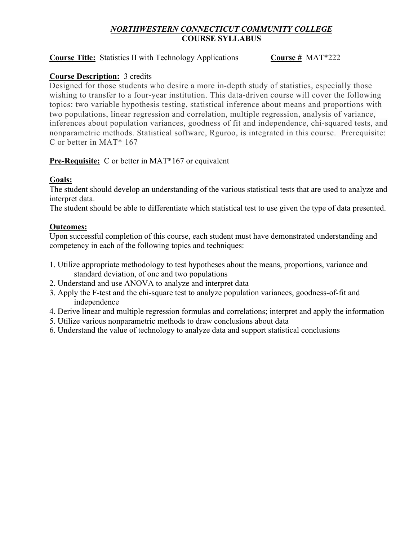# *NORTHWESTERN CONNECTICUT COMMUNITY COLLEGE* **COURSE SYLLABUS**

#### **Course Title:** Statistics II with Technology Applications **Course** # MAT\*222

#### **Course Description:** 3 credits

Designed for those students who desire a more in-depth study of statistics, especially those wishing to transfer to a four-year institution. This data-driven course will cover the following topics: two variable hypothesis testing, statistical inference about means and proportions with two populations, linear regression and correlation, multiple regression, analysis of variance, inferences about population variances, goodness of fit and independence, chi-squared tests, and nonparametric methods. Statistical software, Rguroo, is integrated in this course. Prerequisite: C or better in MAT\* 167

# **Pre-Requisite:** C or better in MAT\*167 or equivalent

# **Goals:**

The student should develop an understanding of the various statistical tests that are used to analyze and interpret data.

The student should be able to differentiate which statistical test to use given the type of data presented.

#### **Outcomes:**

Upon successful completion of this course, each student must have demonstrated understanding and competency in each of the following topics and techniques:

- 1. Utilize appropriate methodology to test hypotheses about the means, proportions, variance and standard deviation, of one and two populations
- 2. Understand and use ANOVA to analyze and interpret data
- 3. Apply the F-test and the chi-square test to analyze population variances, goodness-of-fit and independence
- 4. Derive linear and multiple regression formulas and correlations; interpret and apply the information
- 5. Utilize various nonparametric methods to draw conclusions about data
- 6. Understand the value of technology to analyze data and support statistical conclusions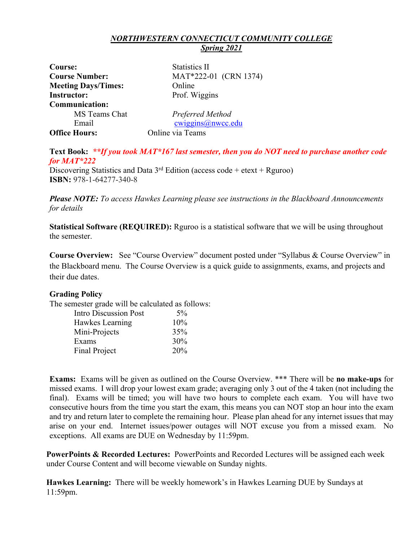#### *NORTHWESTERN CONNECTICUT COMMUNITY COLLEGE Spring 2021*

| Course:                    | <b>Statistics II</b>  |
|----------------------------|-----------------------|
| <b>Course Number:</b>      | MAT*222-01 (CRN 1374) |
| <b>Meeting Days/Times:</b> | Online                |
| <b>Instructor:</b>         | Prof. Wiggins         |
| <b>Communication:</b>      |                       |
| MS Teams Chat              | Preferred Method      |
| Email                      | cwiggins@nwcc.edu     |
| <b>Office Hours:</b>       | Online via Teams      |

**Text Book:** *\*\*If you took MAT\*167 last semester, then you do NOT need to purchase another code for MAT\*222*

Discovering Statistics and Data  $3<sup>rd</sup>$  Edition (access code + etext + Rguroo) **ISBN:** 978-1-64277-340-8

*Please NOTE: To access Hawkes Learning please see instructions in the Blackboard Announcements for details*

**Statistical Software (REQUIRED):** Rguroo is a statistical software that we will be using throughout the semester.

**Course Overview:** See "Course Overview" document posted under "Syllabus & Course Overview" in the Blackboard menu. The Course Overview is a quick guide to assignments, exams, and projects and their due dates.

# **Grading Policy**

The semester grade will be calculated as follows:

| <b>Intro Discussion Post</b> | 5%  |
|------------------------------|-----|
| Hawkes Learning              | 10% |
| Mini-Projects                | 35% |
| Exams                        | 30% |
| Final Project                | 20% |

**Exams:** Exams will be given as outlined on the Course Overview. \*\*\* There will be **no make-ups** for missed exams. I will drop your lowest exam grade; averaging only 3 out of the 4 taken (not including the final). Exams will be timed; you will have two hours to complete each exam. You will have two consecutive hours from the time you start the exam, this means you can NOT stop an hour into the exam and try and return later to complete the remaining hour. Please plan ahead for any internet issues that may arise on your end. Internet issues/power outages will NOT excuse you from a missed exam. No exceptions. All exams are DUE on Wednesday by 11:59pm.

**PowerPoints & Recorded Lectures:** PowerPoints and Recorded Lectures will be assigned each week under Course Content and will become viewable on Sunday nights.

**Hawkes Learning:** There will be weekly homework's in Hawkes Learning DUE by Sundays at 11:59pm.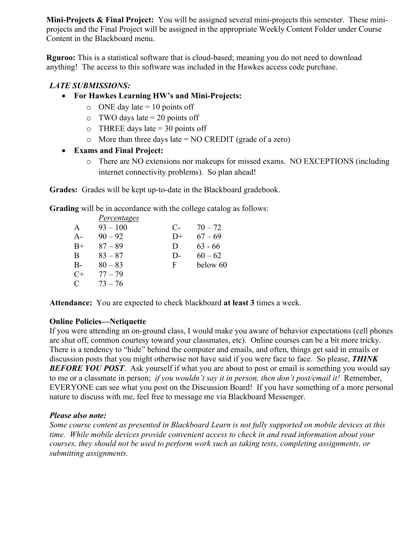**Mini-Projects & Final Project:** You will be assigned several mini-projects this semester. These miniprojects and the Final Project will be assigned in the appropriate Weekly Content Folder under Course Content in the Blackboard menu.

**Rguroo:** This is a statistical software that is cloud-based; meaning you do not need to download anything! The access to this software was included in the Hawkes access code purchase.

# *LATE SUBMISSIONS:*

- **For Hawkes Learning HW's and Mini-Projects:**
	- $\circ$  ONE day late = 10 points off
	- $\circ$  TWO days late = 20 points off
	- $\circ$  THREE days late = 30 points off
	- $\circ$  More than three days late = NO CREDIT (grade of a zero)

# • **Exams and Final Project:**

o There are NO extensions nor makeups for missed exams. NO EXCEPTIONS (including internet connectivity problems). So plan ahead!

**Grades:** Grades will be kept up-to-date in the Blackboard gradebook.

**Grading** will be in accordance with the college catalog as follows:

|               | <i>Percentages</i> |       |           |
|---------------|--------------------|-------|-----------|
| A             | $93 - 100$         | $C$ - | $70 - 72$ |
| $A -$         | $90 - 92$          | $D+$  | $67 - 69$ |
| $B+$          | $87 - 89$          | Ð     | $63 - 66$ |
| <sub>B</sub>  | $83 - 87$          | D-    | $60 - 62$ |
| $B -$         | $80 - 83$          | F     | below 60  |
| $C+$          | $77 - 79$          |       |           |
| $\mathcal{C}$ | $73 - 76$          |       |           |

**Attendance:** You are expected to check blackboard **at least 3** times a week.

# **Online Policies—Netiquette**

If you were attending an on-ground class, I would make you aware of behavior expectations (cell phones are shut off, common courtesy toward your classmates, etc). Online courses can be a bit more tricky. There is a tendency to "hide" behind the computer and emails, and often, things get said in emails or discussion posts that you might otherwise not have said if you were face to face. So please, *THINK*  **BEFORE YOU POST.** Ask yourself if what you are about to post or email is something you would say to me or a classmate in person; *if you wouldn't say it in person, then don't post/email it!* Remember, EVERYONE can see what you post on the Discussion Board! If you have something of a more personal nature to discuss with me, feel free to message me via Blackboard Messenger.

# *Please also note:*

*Some course content as presented in Blackboard Learn is not fully supported on mobile devices at this time. While mobile devices provide convenient access to check in and read information about your courses, they should not be used to perform work such as taking tests, completing assignments, or submitting assignments.*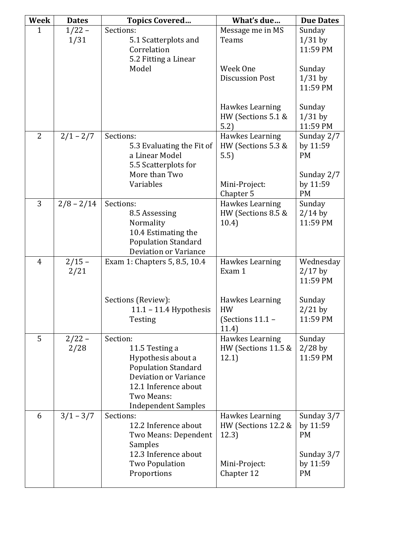| Week           | <b>Dates</b> | <b>Topics Covered</b>                       | What's due                   | <b>Due Dates</b>      |
|----------------|--------------|---------------------------------------------|------------------------------|-----------------------|
| 1              | $1/22 -$     | Sections:                                   | Message me in MS             | Sunday                |
|                | 1/31         | 5.1 Scatterplots and                        | Teams                        | $1/31$ by             |
|                |              | Correlation                                 |                              | 11:59 PM              |
|                |              | 5.2 Fitting a Linear                        |                              |                       |
|                |              | Model                                       | Week One                     | Sunday                |
|                |              |                                             | <b>Discussion Post</b>       | $1/31$ by             |
|                |              |                                             |                              | 11:59 PM              |
|                |              |                                             |                              |                       |
|                |              |                                             | Hawkes Learning              | Sunday                |
|                |              |                                             | HW (Sections 5.1 &           | $1/31$ by             |
| $\overline{2}$ |              |                                             | 5.2)                         | 11:59 PM              |
|                | $2/1 - 2/7$  | Sections:                                   | Hawkes Learning              | Sunday 2/7            |
|                |              | 5.3 Evaluating the Fit of<br>a Linear Model | HW (Sections 5.3 &           | by 11:59<br><b>PM</b> |
|                |              | 5.5 Scatterplots for                        | 5.5)                         |                       |
|                |              | More than Two                               |                              | Sunday 2/7            |
|                |              | Variables                                   | Mini-Project:                | by 11:59              |
|                |              |                                             | Chapter 5                    | <b>PM</b>             |
| 3              | $2/8 - 2/14$ | Sections:                                   | Hawkes Learning              | Sunday                |
|                |              | 8.5 Assessing                               | HW (Sections 8.5 &           | $2/14$ by             |
|                |              | Normality                                   | 10.4)                        | 11:59 PM              |
|                |              | 10.4 Estimating the                         |                              |                       |
|                |              | <b>Population Standard</b>                  |                              |                       |
|                |              | <b>Deviation or Variance</b>                |                              |                       |
| $\overline{4}$ | $2/15 -$     | Exam 1: Chapters 5, 8.5, 10.4               | Hawkes Learning              | Wednesday             |
|                | 2/21         |                                             | Exam 1                       | $2/17$ by             |
|                |              |                                             |                              | 11:59 PM              |
|                |              |                                             |                              |                       |
|                |              | Sections (Review):                          | Hawkes Learning<br><b>HW</b> | Sunday                |
|                |              | 11.1 - 11.4 Hypothesis<br>Testing           | (Sections $11.1 -$           | $2/21$ by<br>11:59 PM |
|                |              |                                             | 11.4)                        |                       |
| 5              | $2/22 -$     | Section:                                    | Hawkes Learning              | Sunday                |
|                | 2/28         | 11.5 Testing a                              | HW (Sections 11.5 &          | $2/28$ by             |
|                |              | Hypothesis about a                          | 12.1)                        | 11:59 PM              |
|                |              | <b>Population Standard</b>                  |                              |                       |
|                |              | Deviation or Variance                       |                              |                       |
|                |              | 12.1 Inference about                        |                              |                       |
|                |              | Two Means:                                  |                              |                       |
|                |              | <b>Independent Samples</b>                  |                              |                       |
| 6              | $3/1 - 3/7$  | Sections:                                   | Hawkes Learning              | Sunday 3/7            |
|                |              | 12.2 Inference about                        | HW (Sections 12.2 &          | by 11:59              |
|                |              | Two Means: Dependent                        | 12.3)                        | <b>PM</b>             |
|                |              | Samples                                     |                              |                       |
|                |              | 12.3 Inference about                        |                              | Sunday 3/7            |
|                |              | <b>Two Population</b>                       | Mini-Project:                | by 11:59<br><b>PM</b> |
|                |              | Proportions                                 | Chapter 12                   |                       |
|                |              |                                             |                              |                       |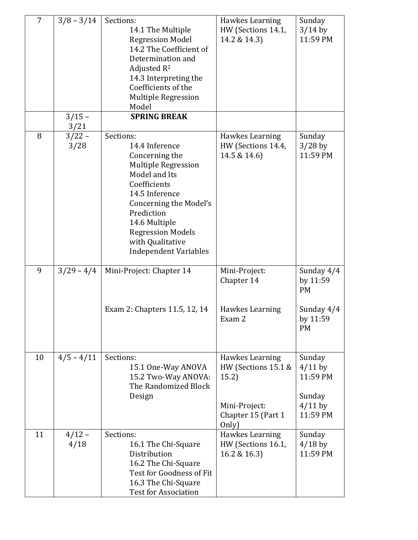| $\overline{7}$ | $3/8 - 3/14$     | Sections:<br>14.1 The Multiple<br><b>Regression Model</b><br>14.2 The Coefficient of<br>Determination and<br>Adjusted $R^2$<br>14.3 Interpreting the<br>Coefficients of the<br><b>Multiple Regression</b><br>Model                                               | Hawkes Learning<br>HW (Sections 14.1,<br>14.2 & 14.3)                                           | Sunday<br>$3/14$ by<br>11:59 PM                                    |
|----------------|------------------|------------------------------------------------------------------------------------------------------------------------------------------------------------------------------------------------------------------------------------------------------------------|-------------------------------------------------------------------------------------------------|--------------------------------------------------------------------|
|                | $3/15 -$<br>3/21 | <b>SPRING BREAK</b>                                                                                                                                                                                                                                              |                                                                                                 |                                                                    |
| 8              | $3/22 -$<br>3/28 | Sections:<br>14.4 Inference<br>Concerning the<br><b>Multiple Regression</b><br>Model and Its<br>Coefficients<br>14.5 Inference<br>Concerning the Model's<br>Prediction<br>14.6 Multiple<br><b>Regression Models</b><br>with Qualitative<br>Independent Variables | Hawkes Learning<br>HW (Sections 14.4,<br>14.5 & 14.6)                                           | Sunday<br>$3/28$ by<br>11:59 PM                                    |
| 9              | $3/29 - 4/4$     | Mini-Project: Chapter 14<br>Exam 2: Chapters 11.5, 12, 14                                                                                                                                                                                                        | Mini-Project:<br>Chapter 14<br>Hawkes Learning                                                  | Sunday 4/4<br>by 11:59<br><b>PM</b><br>Sunday 4/4                  |
|                |                  |                                                                                                                                                                                                                                                                  | Exam 2                                                                                          | by 11:59<br><b>PM</b>                                              |
| 10             | $4/5 - 4/11$     | Sections:<br>15.1 One-Way ANOVA<br>15.2 Two-Way ANOVA:<br>The Randomized Block<br>Design                                                                                                                                                                         | Hawkes Learning<br>HW (Sections 15.1 &<br>15.2)<br>Mini-Project:<br>Chapter 15 (Part 1<br>Only) | Sunday<br>$4/11$ by<br>11:59 PM<br>Sunday<br>$4/11$ by<br>11:59 PM |
| 11             | $4/12 -$<br>4/18 | Sections:<br>16.1 The Chi-Square<br>Distribution<br>16.2 The Chi-Square<br>Test for Goodness of Fit<br>16.3 The Chi-Square<br><b>Test for Association</b>                                                                                                        | Hawkes Learning<br>HW (Sections 16.1,<br>16.2 & 16.3)                                           | Sunday<br>$4/18$ by<br>11:59 PM                                    |